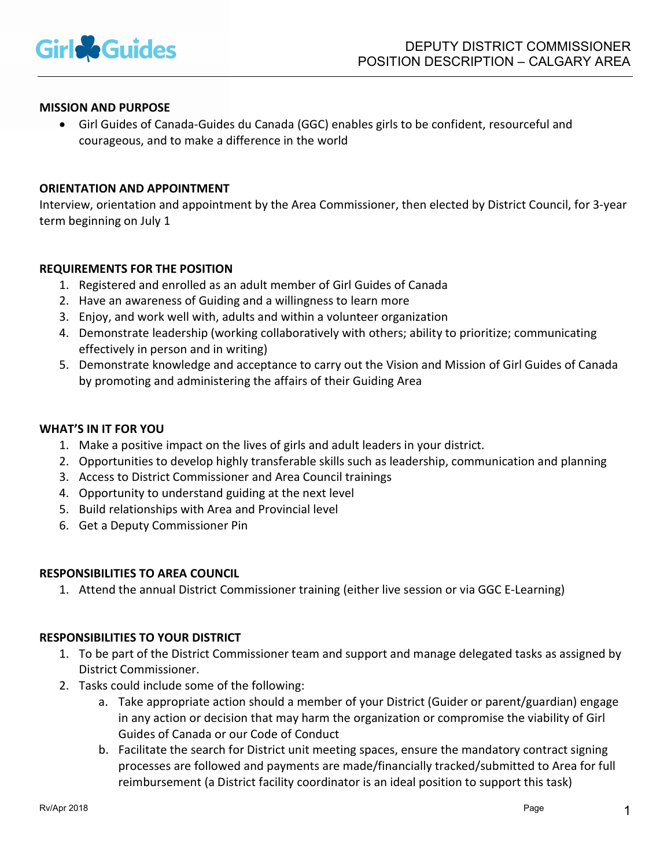

# MISSION AND PURPOSE

 Girl Guides of Canada-Guides du Canada (GGC) enables girls to be confident, resourceful and courageous, and to make a difference in the world

#### ORIENTATION AND APPOINTMENT

Interview, orientation and appointment by the Area Commissioner, then elected by District Council, for 3-year term beginning on July 1

## REQUIREMENTS FOR THE POSITION

- 1. Registered and enrolled as an adult member of Girl Guides of Canada
- 2. Have an awareness of Guiding and a willingness to learn more
- 3. Enjoy, and work well with, adults and within a volunteer organization
- 4. Demonstrate leadership (working collaboratively with others; ability to prioritize; communicating effectively in person and in writing)
- 5. Demonstrate knowledge and acceptance to carry out the Vision and Mission of Girl Guides of Canada by promoting and administering the affairs of their Guiding Area

# WHAT'S IN IT FOR YOU

- 1. Make a positive impact on the lives of girls and adult leaders in your district.
- 2. Opportunities to develop highly transferable skills such as leadership, communication and planning
- 3. Access to District Commissioner and Area Council trainings
- 4. Opportunity to understand guiding at the next level
- 5. Build relationships with Area and Provincial level
- 6. Get a Deputy Commissioner Pin

#### RESPONSIBILITIES TO AREA COUNCIL

1. Attend the annual District Commissioner training (either live session or via GGC E-Learning)

### RESPONSIBILITIES TO YOUR DISTRICT

- 1. To be part of the District Commissioner team and support and manage delegated tasks as assigned by District Commissioner.
- 2. Tasks could include some of the following:
	- a. Take appropriate action should a member of your District (Guider or parent/guardian) engage in any action or decision that may harm the organization or compromise the viability of Girl Guides of Canada or our Code of Conduct
	- b. Facilitate the search for District unit meeting spaces, ensure the mandatory contract signing processes are followed and payments are made/financially tracked/submitted to Area for full reimbursement (a District facility coordinator is an ideal position to support this task)